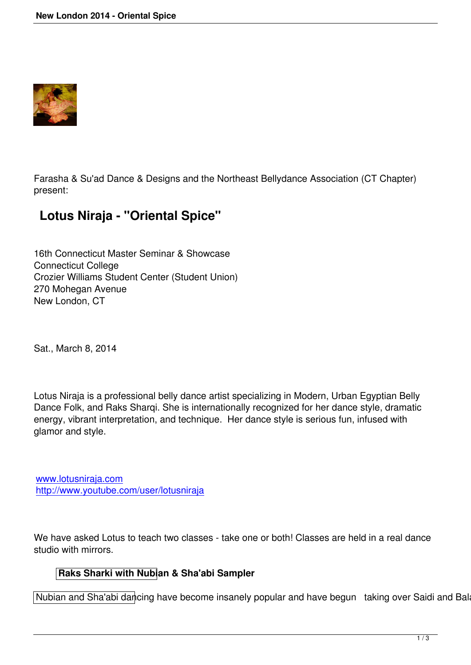

Farasha & Su'ad Dance & Designs and the Northeast Bellydance Association (CT Chapter) present:

## **Lotus Niraja - "Oriental Spice"**

16th Connecticut Master Seminar & Showcase Connecticut College Crozier Williams Student Center (Student Union) 270 Mohegan Avenue New London, CT

Sat., March 8, 2014

Lotus Niraja is a professional belly dance artist specializing in Modern, Urban Egyptian Belly Dance Folk, and Raks Sharqi. She is internationally recognized for her dance style, dramatic energy, vibrant interpretation, and technique. Her dance style is serious fun, infused with glamor and style.

www.lotusniraja.com http://www.youtube.com/user/lotusniraja

[We have asked Lotus to teach two classe](http://www.youtube.com/user/lotusniraja)s - take one or both! Classes are held in a real dance studio with mirrors.

## **Raks Sharki with Nubian & Sha'abi Sampler**

Nubian and Sha'abi dancing have become insanely popular and have begun taking over Saidi and Baladi